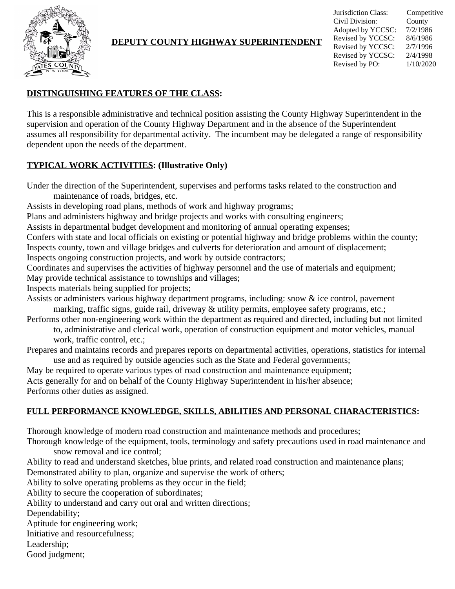

### **DEPUTY COUNTY HIGHWAY SUPERINTENDENT**

Jurisdiction Class: Competitive Civil Division: County Adopted by YCCSC: 7/2/1986 Revised by YCCSC: 8/6/1986 Revised by YCCSC: 2/7/1996 Revised by YCCSC: 2/4/1998 Revised by PO: 1/10/2020

### **DISTINGUISHING FEATURES OF THE CLASS:**

This is a responsible administrative and technical position assisting the County Highway Superintendent in the supervision and operation of the County Highway Department and in the absence of the Superintendent assumes all responsibility for departmental activity. The incumbent may be delegated a range of responsibility dependent upon the needs of the department.

#### **TYPICAL WORK ACTIVITIES: (Illustrative Only)**

Under the direction of the Superintendent, supervises and performs tasks related to the construction and maintenance of roads, bridges, etc.

Assists in developing road plans, methods of work and highway programs;

Plans and administers highway and bridge projects and works with consulting engineers;

Assists in departmental budget development and monitoring of annual operating expenses;

Confers with state and local officials on existing or potential highway and bridge problems within the county; Inspects county, town and village bridges and culverts for deterioration and amount of displacement;

Inspects ongoing construction projects, and work by outside contractors;

Coordinates and supervises the activities of highway personnel and the use of materials and equipment; May provide technical assistance to townships and villages;

Inspects materials being supplied for projects;

Assists or administers various highway department programs, including: snow & ice control, pavement marking, traffic signs, guide rail, driveway & utility permits, employee safety programs, etc.;

Performs other non-engineering work within the department as required and directed, including but not limited to, administrative and clerical work, operation of construction equipment and motor vehicles, manual work, traffic control, etc.;

Prepares and maintains records and prepares reports on departmental activities, operations, statistics for internal use and as required by outside agencies such as the State and Federal governments;

May be required to operate various types of road construction and maintenance equipment;

Acts generally for and on behalf of the County Highway Superintendent in his/her absence; Performs other duties as assigned.

# **FULL PERFORMANCE KNOWLEDGE, SKILLS, ABILITIES AND PERSONAL CHARACTERISTICS:**

Thorough knowledge of modern road construction and maintenance methods and procedures;

Thorough knowledge of the equipment, tools, terminology and safety precautions used in road maintenance and snow removal and ice control;

Ability to read and understand sketches, blue prints, and related road construction and maintenance plans; Demonstrated ability to plan, organize and supervise the work of others;

Ability to solve operating problems as they occur in the field;

Ability to secure the cooperation of subordinates;

Ability to understand and carry out oral and written directions;

Dependability;

Aptitude for engineering work;

Initiative and resourcefulness;

Leadership;

Good judgment;